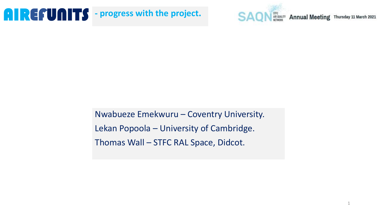AIR QUALITY **Annual Meeting** Thursday 11 March 2021 **SAO** 

Nwabueze Emekwuru – Coventry University. Lekan Popoola – University of Cambridge. Thomas Wall – STFC RAL Space, Didcot.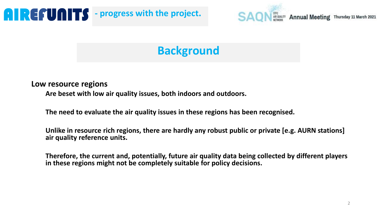

### **Background**

#### **Low resource regions**

**Are beset with low air quality issues, both indoors and outdoors.**

**The need to evaluate the air quality issues in these regions has been recognised.**

**Unlike in resource rich regions, there are hardly any robust public or private [e.g. AURN stations] air quality reference units.**

**Therefore, the current and, potentially, future air quality data being collected by different players in these regions might not be completely suitable for policy decisions.**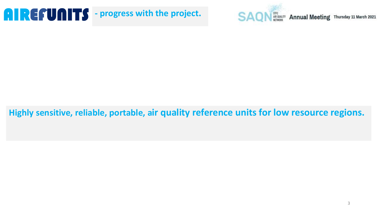

#### **Highly sensitive, reliable, portable, air quality reference units for low resource regions.**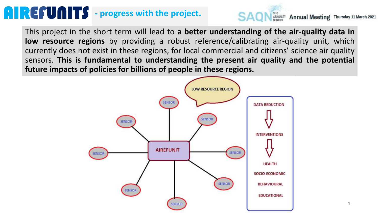

**SAON** AR QUALITY Annual Meeting Thursday 11 March 2021

This project in the short term will lead to **a better understanding of the air-quality data in low resource regions** by providing a robust reference/calibrating air-quality unit, which currently does not exist in these regions, for local commercial and citizens' science air quality sensors. **This is fundamental to understanding the present air quality and the potential future impacts of policies for billions of people in these regions.**

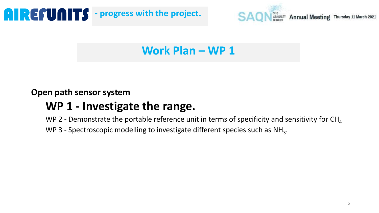

### **Work Plan – WP 1**

#### **Open path sensor system**

### **WP 1 - Investigate the range.**

WP 2 - Demonstrate the portable reference unit in terms of specificity and sensitivity for  $CH<sub>4</sub>$ 

WP 3 - Spectroscopic modelling to investigate different species such as  $NH_3$ .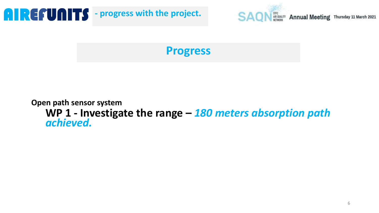

**Progress**

#### **Open path sensor system WP 1 - Investigate the range –** *180 meters absorption path achieved.*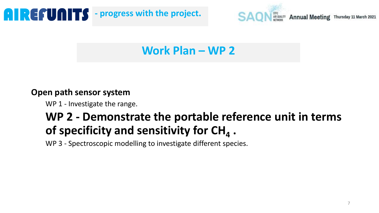

### **Work Plan – WP 2**

#### **Open path sensor system**

WP 1 - Investigate the range.

### **WP 2 - Demonstrate the portable reference unit in terms of specificity and sensitivity for CH<sup>4</sup> .**

WP 3 - Spectroscopic modelling to investigate different species.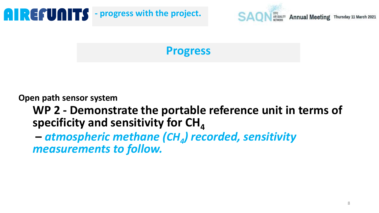

**Progress**

**Open path sensor system**

**WP 2 - Demonstrate the portable reference unit in terms of specificity and sensitivity for CH**<sup>4</sup>

**–** *atmospheric methane (CH<sup>4</sup> ) recorded, sensitivity measurements to follow.*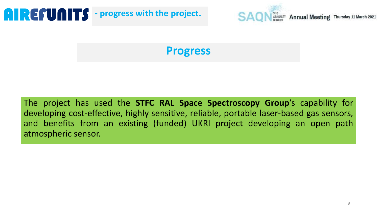

**Progress**

The project has used the **STFC RAL Space Spectroscopy Group**'s capability for developing cost-effective, highly sensitive, reliable, portable laser-based gas sensors, and benefits from an existing (funded) UKRI project developing an open path atmospheric sensor.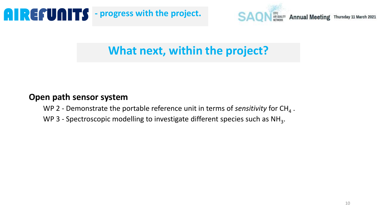

### **What next, within the project?**

#### **Open path sensor system**

- WP 2 Demonstrate the portable reference unit in terms of *sensitivity* for CH<sub>4</sub>.
- WP 3 Spectroscopic modelling to investigate different species such as  $NH_3$ .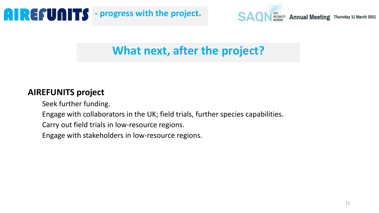

### **What next, after the project?**

#### **AIREFUNITS project**

Seek further funding.

Engage with collaborators in the UK; field trials, further species capabilities.

Carry out field trials in low-resource regions.

Engage with stakeholders in low-resource regions.